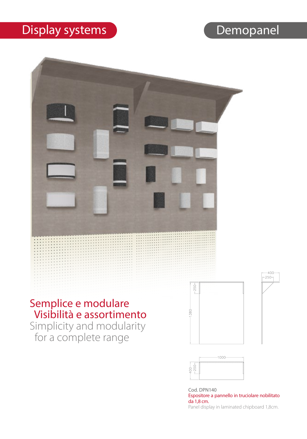#### Display systems Demopanel



Cod. DPN140 Espositore a pannello in truciolare nobilitato da 1,8 cm. Panel display in laminated chipboard 1,8cm.

 $-400$  $250 -$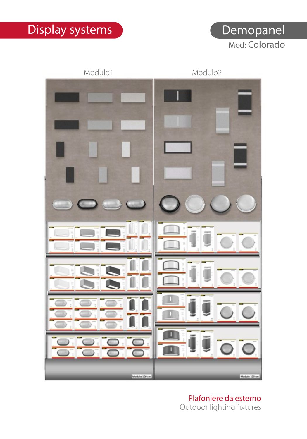### Display systems and Demopanel

Mod: Colorado



Plafoniere da esterno Outdoor lighting fixtures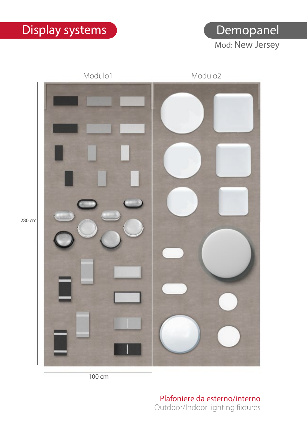Mod: New Jersey **Demopanel** 



100 cm

Plafoniere da esterno/interno Outdoor/Indoor lighting fixtures

280 cm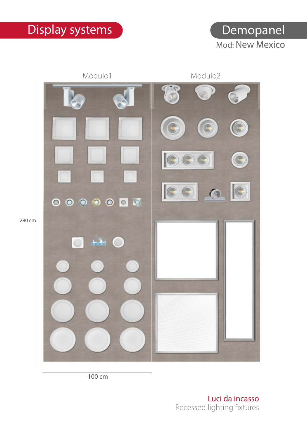



100 cm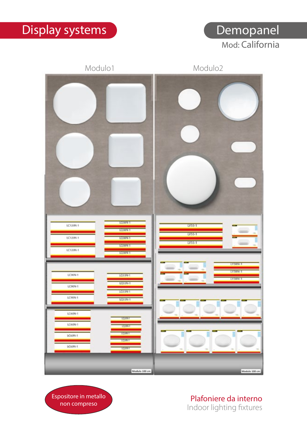Mod: California Demopanel

#### Modulo1 Modulo2 LQ38N-1 LC120N-1  $IVSS-1$ **LOTAN-T**  $W55-1$ LC120N-1 **LO38N-1** Lyss-1 **TOTALS** LC120N-1 **CORRENT Y38N-1** LY38N-1 LC90N-1 LQ33N-1 VZRNa LQ33N-1 LC90N-1 LO33N-1 LC90N-1  $10338-1$ LC60N-1 LC60N-1 LC60N-1 LC60N-T Modulo 100 or Medulo 100 cm

Espositore in metallo non compreso

Plafoniere da interno Indoor lighting fixtures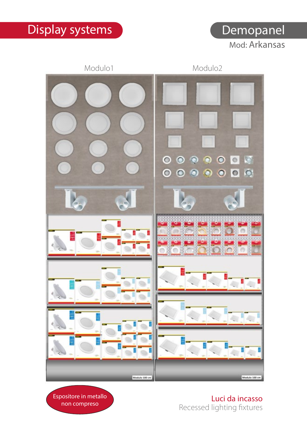Mod: Arkansas



Espositore in metallo non compreso

Luci da incasso Recessed lighting fixtures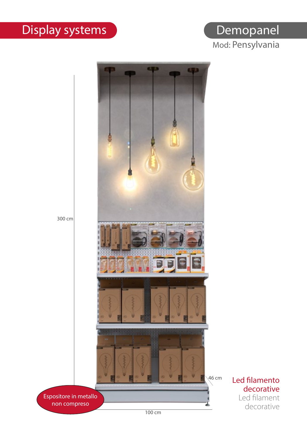#### Mod: Pensylvania **Demopanel**

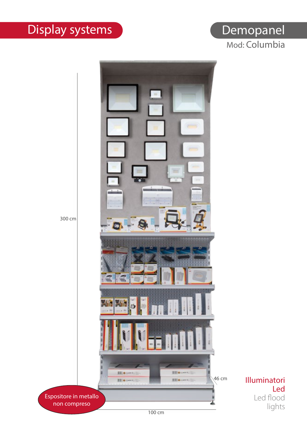# Display systems **Demophanel**

# Mod: Columbia



Led Led flood lights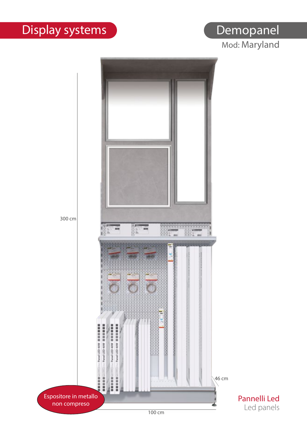# Demopanel